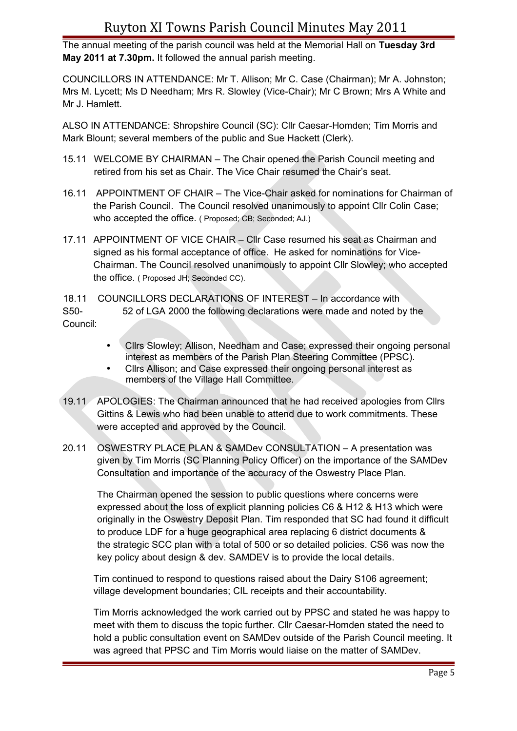### Ruyton XI Towns Parish Council Minutes May 2011

The annual meeting of the parish council was held at the Memorial Hall on **Tuesday 3rd May 2011 at 7.30pm.** It followed the annual parish meeting.

COUNCILLORS IN ATTENDANCE: Mr T. Allison; Mr C. Case (Chairman); Mr A. Johnston; Mrs M. Lycett; Ms D Needham; Mrs R. Slowley (Vice-Chair); Mr C Brown; Mrs A White and Mr J. Hamlett.

ALSO IN ATTENDANCE: Shropshire Council (SC): Cllr Caesar-Homden; Tim Morris and Mark Blount; several members of the public and Sue Hackett (Clerk).

- 15.11 WELCOME BY CHAIRMAN The Chair opened the Parish Council meeting and retired from his set as Chair. The Vice Chair resumed the Chair's seat.
- 16.11 APPOINTMENT OF CHAIR The Vice-Chair asked for nominations for Chairman of the Parish Council. The Council resolved unanimously to appoint Cllr Colin Case; who accepted the office. ( Proposed; CB; Seconded; AJ.)
- 17.11 APPOINTMENT OF VICE CHAIR Cllr Case resumed his seat as Chairman and signed as his formal acceptance of office. He asked for nominations for Vice-Chairman. The Council resolved unanimously to appoint Cllr Slowley; who accepted the office. ( Proposed JH; Seconded CC).

18.11 COUNCILLORS DECLARATIONS OF INTEREST – In accordance with S50- 52 of LGA 2000 the following declarations were made and noted by the Council:

- Cllrs Slowley; Allison, Needham and Case; expressed their ongoing personal interest as members of the Parish Plan Steering Committee (PPSC).
- Cllrs Allison; and Case expressed their ongoing personal interest as members of the Village Hall Committee.
- 19.11 APOLOGIES: The Chairman announced that he had received apologies from Cllrs Gittins & Lewis who had been unable to attend due to work commitments. These were accepted and approved by the Council.
- 20.11 OSWESTRY PLACE PLAN & SAMDev CONSULTATION A presentation was given by Tim Morris (SC Planning Policy Officer) on the importance of the SAMDev Consultation and importance of the accuracy of the Oswestry Place Plan.

The Chairman opened the session to public questions where concerns were expressed about the loss of explicit planning policies C6 & H12 & H13 which were originally in the Oswestry Deposit Plan. Tim responded that SC had found it difficult to produce LDF for a huge geographical area replacing 6 district documents & the strategic SCC plan with a total of 500 or so detailed policies. CS6 was now the key policy about design & dev. SAMDEV is to provide the local details.

Tim continued to respond to questions raised about the Dairy S106 agreement; village development boundaries; CIL receipts and their accountability.

Tim Morris acknowledged the work carried out by PPSC and stated he was happy to meet with them to discuss the topic further. Cllr Caesar-Homden stated the need to hold a public consultation event on SAMDev outside of the Parish Council meeting. It was agreed that PPSC and Tim Morris would liaise on the matter of SAMDev.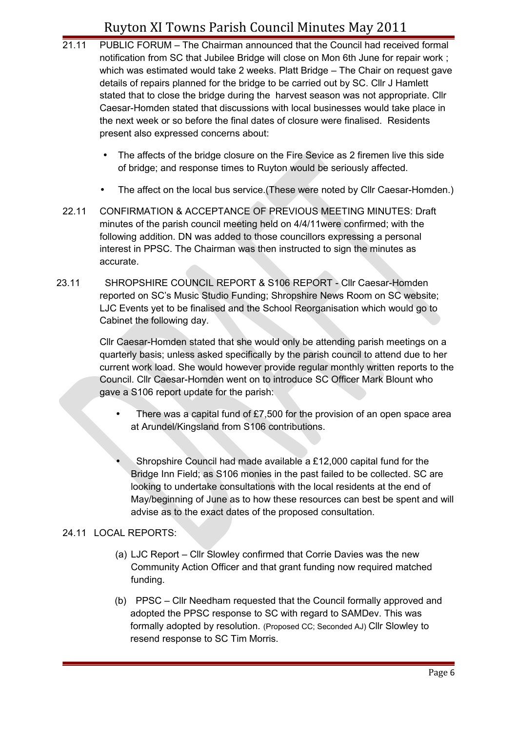# Ruyton XI Towns Parish Council Minutes May 2011

- 21.11 PUBLIC FORUM The Chairman announced that the Council had received formal notification from SC that Jubilee Bridge will close on Mon 6th June for repair work ; which was estimated would take 2 weeks. Platt Bridge – The Chair on request gave details of repairs planned for the bridge to be carried out by SC. Cllr J Hamlett stated that to close the bridge during the harvest season was not appropriate. Cllr Caesar-Homden stated that discussions with local businesses would take place in the next week or so before the final dates of closure were finalised. Residents present also expressed concerns about:
	- The affects of the bridge closure on the Fire Sevice as 2 firemen live this side of bridge; and response times to Ruyton would be seriously affected.
	- The affect on the local bus service. (These were noted by Cllr Caesar-Homden.)
- 22.11 CONFIRMATION & ACCEPTANCE OF PREVIOUS MEETING MINUTES: Draft minutes of the parish council meeting held on 4/4/11were confirmed; with the following addition. DN was added to those councillors expressing a personal interest in PPSC. The Chairman was then instructed to sign the minutes as accurate.
- 23.11 SHROPSHIRE COUNCIL REPORT & S106 REPORT Cllr Caesar-Homden reported on SC's Music Studio Funding; Shropshire News Room on SC website; LJC Events yet to be finalised and the School Reorganisation which would go to Cabinet the following day.

Cllr Caesar-Homden stated that she would only be attending parish meetings on a quarterly basis; unless asked specifically by the parish council to attend due to her current work load. She would however provide regular monthly written reports to the Council. Cllr Caesar-Homden went on to introduce SC Officer Mark Blount who gave a S106 report update for the parish:

- There was a capital fund of £7,500 for the provision of an open space area at Arundel/Kingsland from S106 contributions.
- Shropshire Council had made available a £12,000 capital fund for the Bridge Inn Field; as S106 monies in the past failed to be collected. SC are looking to undertake consultations with the local residents at the end of May/beginning of June as to how these resources can best be spent and will advise as to the exact dates of the proposed consultation.

### 24.11 LOCAL REPORTS:

- (a) LJC Report Cllr Slowley confirmed that Corrie Davies was the new Community Action Officer and that grant funding now required matched funding.
- (b) PPSC Cllr Needham requested that the Council formally approved and adopted the PPSC response to SC with regard to SAMDev. This was formally adopted by resolution. (Proposed CC; Seconded AJ) Cllr Slowley to resend response to SC Tim Morris.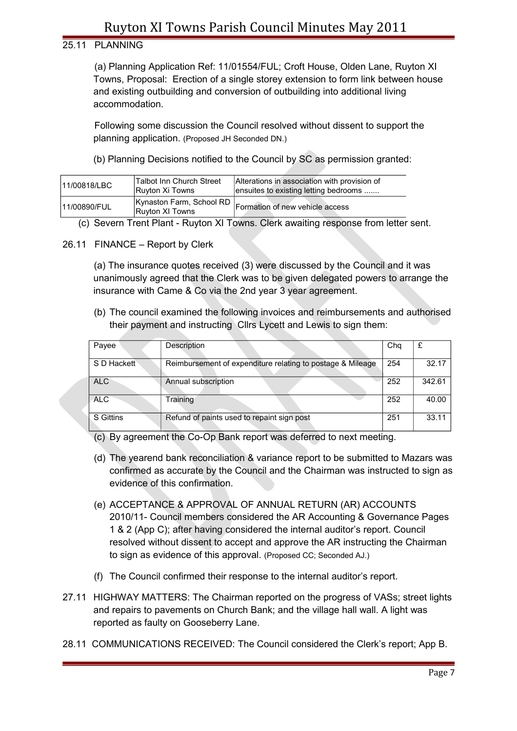## Ruyton XI Towns Parish Council Minutes May 2011

#### 25.11 PLANNING

(a) Planning Application Ref: 11/01554/FUL; Croft House, Olden Lane, Ruyton XI Towns, Proposal: Erection of a single storey extension to form link between house and existing outbuilding and conversion of outbuilding into additional living accommodation.

Following some discussion the Council resolved without dissent to support the planning application. (Proposed JH Seconded DN.)

(b) Planning Decisions notified to the Council by SC as permission granted:

| 11/00818/LBC | Talbot Inn Church Street<br>Ruyton Xi Towns | Alterations in association with provision of<br>ensuites to existing letting bedrooms |
|--------------|---------------------------------------------|---------------------------------------------------------------------------------------|
| 11/00890/FUL | Ruyton XI Towns                             | Kynaston Farm, School RD   Formation of new vehicle access                            |

(c) Severn Trent Plant - Ruyton XI Towns. Clerk awaiting response from letter sent.

26.11 FINANCE – Report by Clerk

(a) The insurance quotes received (3) were discussed by the Council and it was unanimously agreed that the Clerk was to be given delegated powers to arrange the insurance with Came & Co via the 2nd year 3 year agreement.

(b) The council examined the following invoices and reimbursements and authorised their payment and instructing Cllrs Lycett and Lewis to sign them:

| Payee            | Description                                                | Cha | £      |
|------------------|------------------------------------------------------------|-----|--------|
| S D Hackett      | Reimbursement of expenditure relating to postage & Mileage | 254 | 32.17  |
| <b>ALC</b>       | Annual subscription                                        | 252 | 342.61 |
| <b>ALC</b>       | Training                                                   | 252 | 40.00  |
| <b>S</b> Gittins | Refund of paints used to repaint sign post                 | 251 | 33.11  |

(c) By agreement the Co-Op Bank report was deferred to next meeting.

- (d) The yearend bank reconciliation & variance report to be submitted to Mazars was confirmed as accurate by the Council and the Chairman was instructed to sign as evidence of this confirmation.
- (e) ACCEPTANCE & APPROVAL OF ANNUAL RETURN (AR) ACCOUNTS 2010/11- Council members considered the AR Accounting & Governance Pages 1 & 2 (App C); after having considered the internal auditor's report. Council resolved without dissent to accept and approve the AR instructing the Chairman to sign as evidence of this approval. (Proposed CC; Seconded AJ.)
- (f) The Council confirmed their response to the internal auditor's report.
- 27.11 HIGHWAY MATTERS: The Chairman reported on the progress of VASs; street lights and repairs to pavements on Church Bank; and the village hall wall. A light was reported as faulty on Gooseberry Lane.
- 28.11 COMMUNICATIONS RECEIVED: The Council considered the Clerk's report; App B.